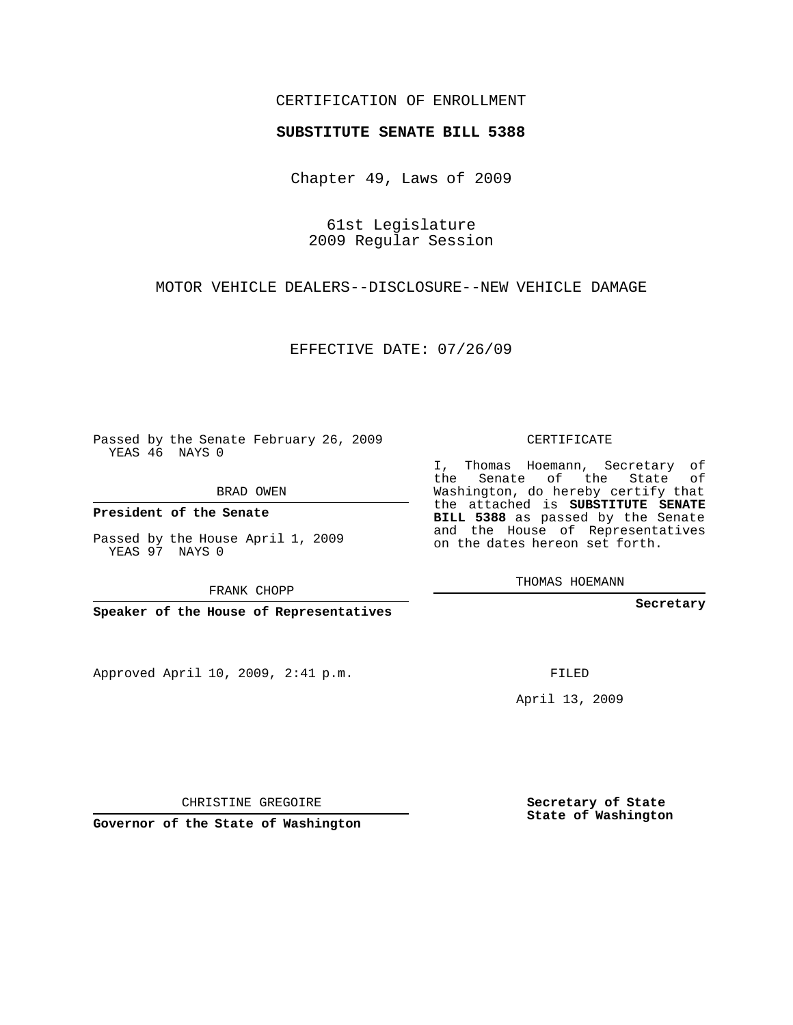## CERTIFICATION OF ENROLLMENT

## **SUBSTITUTE SENATE BILL 5388**

Chapter 49, Laws of 2009

61st Legislature 2009 Regular Session

MOTOR VEHICLE DEALERS--DISCLOSURE--NEW VEHICLE DAMAGE

EFFECTIVE DATE: 07/26/09

Passed by the Senate February 26, 2009 YEAS 46 NAYS 0

BRAD OWEN

**President of the Senate**

Passed by the House April 1, 2009 YEAS 97 NAYS 0

FRANK CHOPP

**Speaker of the House of Representatives**

Approved April 10, 2009, 2:41 p.m.

CERTIFICATE

I, Thomas Hoemann, Secretary of the Senate of the State of Washington, do hereby certify that the attached is **SUBSTITUTE SENATE BILL 5388** as passed by the Senate and the House of Representatives on the dates hereon set forth.

THOMAS HOEMANN

**Secretary**

FILED

April 13, 2009

**Governor of the State of Washington**

CHRISTINE GREGOIRE

**Secretary of State State of Washington**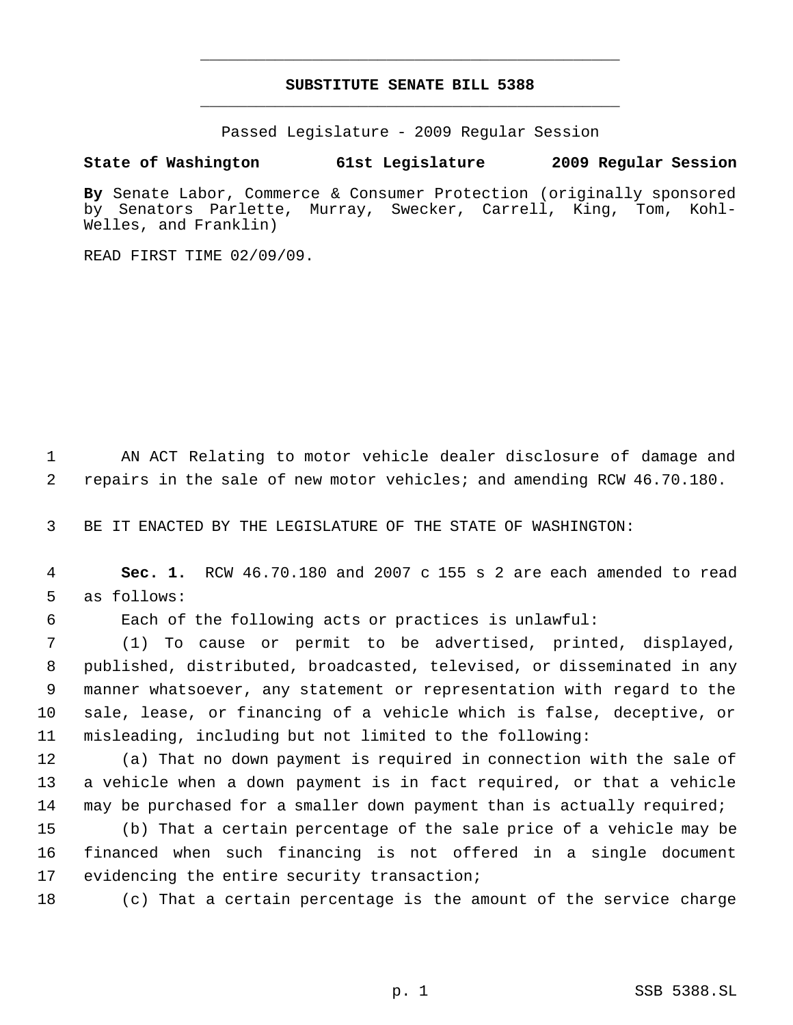## **SUBSTITUTE SENATE BILL 5388** \_\_\_\_\_\_\_\_\_\_\_\_\_\_\_\_\_\_\_\_\_\_\_\_\_\_\_\_\_\_\_\_\_\_\_\_\_\_\_\_\_\_\_\_\_

\_\_\_\_\_\_\_\_\_\_\_\_\_\_\_\_\_\_\_\_\_\_\_\_\_\_\_\_\_\_\_\_\_\_\_\_\_\_\_\_\_\_\_\_\_

Passed Legislature - 2009 Regular Session

## **State of Washington 61st Legislature 2009 Regular Session**

**By** Senate Labor, Commerce & Consumer Protection (originally sponsored by Senators Parlette, Murray, Swecker, Carrell, King, Tom, Kohl-Welles, and Franklin)

READ FIRST TIME 02/09/09.

 AN ACT Relating to motor vehicle dealer disclosure of damage and repairs in the sale of new motor vehicles; and amending RCW 46.70.180.

BE IT ENACTED BY THE LEGISLATURE OF THE STATE OF WASHINGTON:

- **Sec. 1.** RCW 46.70.180 and 2007 c 155 s 2 are each amended to read as follows:
- 

Each of the following acts or practices is unlawful:

 (1) To cause or permit to be advertised, printed, displayed, published, distributed, broadcasted, televised, or disseminated in any manner whatsoever, any statement or representation with regard to the sale, lease, or financing of a vehicle which is false, deceptive, or misleading, including but not limited to the following:

 (a) That no down payment is required in connection with the sale of a vehicle when a down payment is in fact required, or that a vehicle may be purchased for a smaller down payment than is actually required;

 (b) That a certain percentage of the sale price of a vehicle may be financed when such financing is not offered in a single document 17 evidencing the entire security transaction;

(c) That a certain percentage is the amount of the service charge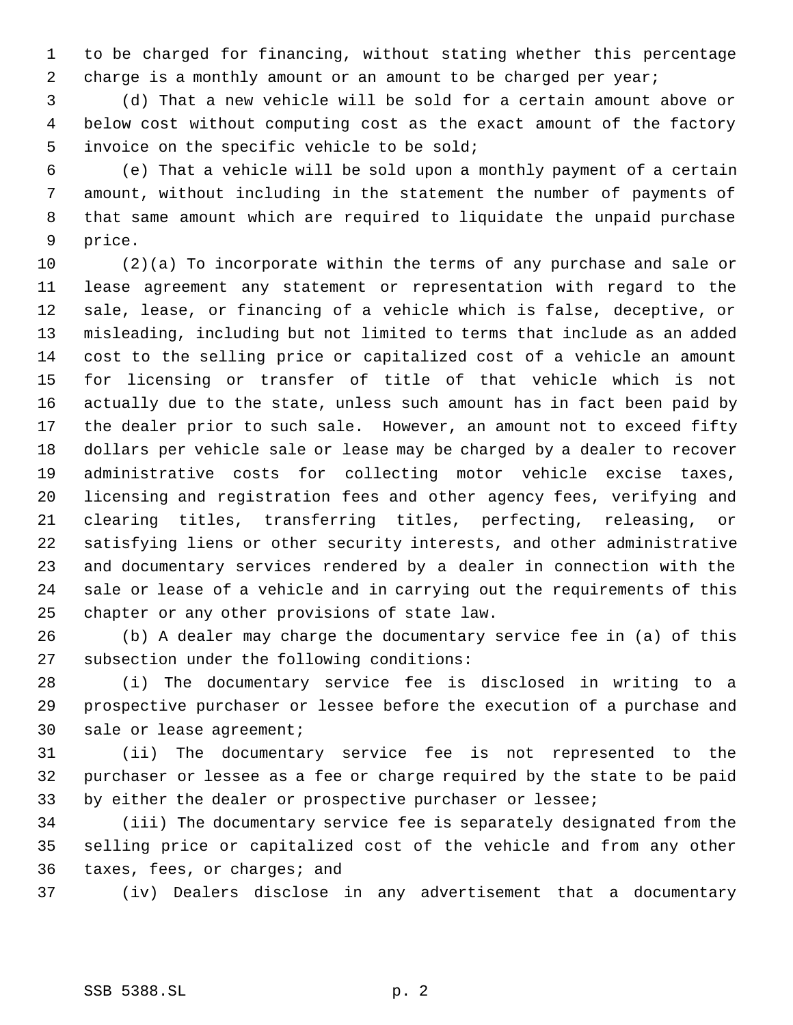to be charged for financing, without stating whether this percentage 2 charge is a monthly amount or an amount to be charged per year;

 (d) That a new vehicle will be sold for a certain amount above or below cost without computing cost as the exact amount of the factory invoice on the specific vehicle to be sold;

 (e) That a vehicle will be sold upon a monthly payment of a certain amount, without including in the statement the number of payments of that same amount which are required to liquidate the unpaid purchase price.

 (2)(a) To incorporate within the terms of any purchase and sale or lease agreement any statement or representation with regard to the sale, lease, or financing of a vehicle which is false, deceptive, or misleading, including but not limited to terms that include as an added cost to the selling price or capitalized cost of a vehicle an amount for licensing or transfer of title of that vehicle which is not actually due to the state, unless such amount has in fact been paid by the dealer prior to such sale. However, an amount not to exceed fifty dollars per vehicle sale or lease may be charged by a dealer to recover administrative costs for collecting motor vehicle excise taxes, licensing and registration fees and other agency fees, verifying and clearing titles, transferring titles, perfecting, releasing, or satisfying liens or other security interests, and other administrative and documentary services rendered by a dealer in connection with the sale or lease of a vehicle and in carrying out the requirements of this chapter or any other provisions of state law.

 (b) A dealer may charge the documentary service fee in (a) of this subsection under the following conditions:

 (i) The documentary service fee is disclosed in writing to a prospective purchaser or lessee before the execution of a purchase and sale or lease agreement;

 (ii) The documentary service fee is not represented to the purchaser or lessee as a fee or charge required by the state to be paid by either the dealer or prospective purchaser or lessee;

 (iii) The documentary service fee is separately designated from the selling price or capitalized cost of the vehicle and from any other taxes, fees, or charges; and

(iv) Dealers disclose in any advertisement that a documentary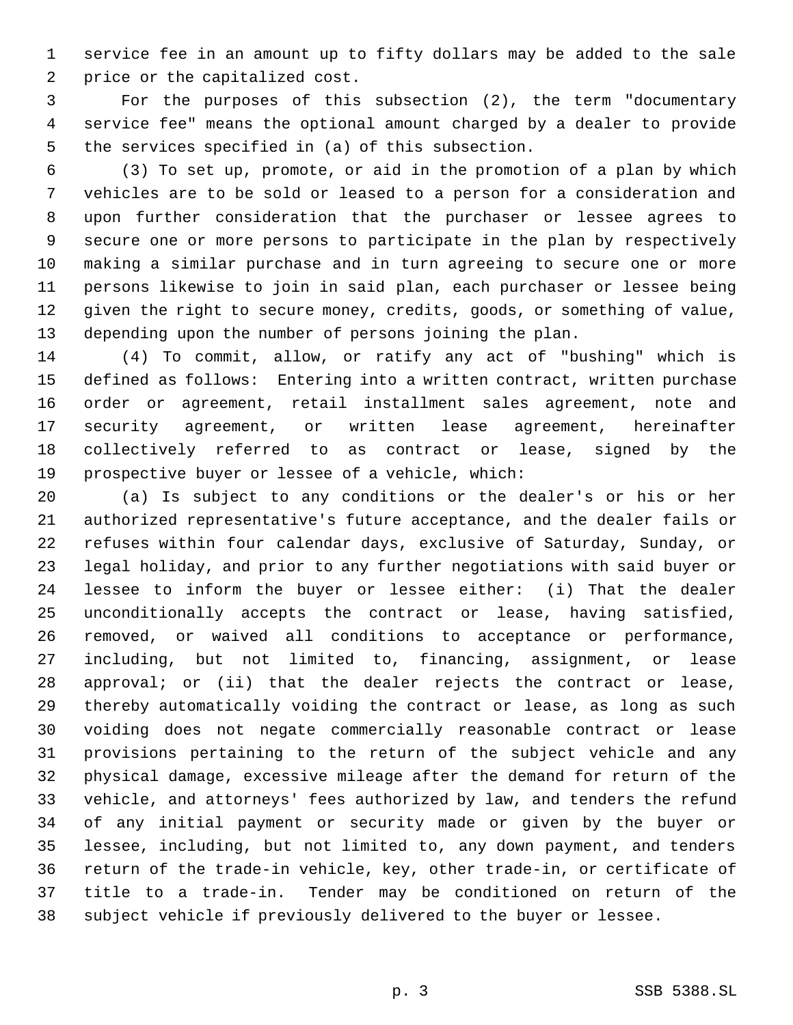service fee in an amount up to fifty dollars may be added to the sale price or the capitalized cost.

 For the purposes of this subsection (2), the term "documentary service fee" means the optional amount charged by a dealer to provide the services specified in (a) of this subsection.

 (3) To set up, promote, or aid in the promotion of a plan by which vehicles are to be sold or leased to a person for a consideration and upon further consideration that the purchaser or lessee agrees to secure one or more persons to participate in the plan by respectively making a similar purchase and in turn agreeing to secure one or more persons likewise to join in said plan, each purchaser or lessee being given the right to secure money, credits, goods, or something of value, depending upon the number of persons joining the plan.

 (4) To commit, allow, or ratify any act of "bushing" which is defined as follows: Entering into a written contract, written purchase order or agreement, retail installment sales agreement, note and security agreement, or written lease agreement, hereinafter collectively referred to as contract or lease, signed by the prospective buyer or lessee of a vehicle, which:

 (a) Is subject to any conditions or the dealer's or his or her authorized representative's future acceptance, and the dealer fails or refuses within four calendar days, exclusive of Saturday, Sunday, or legal holiday, and prior to any further negotiations with said buyer or lessee to inform the buyer or lessee either: (i) That the dealer unconditionally accepts the contract or lease, having satisfied, removed, or waived all conditions to acceptance or performance, including, but not limited to, financing, assignment, or lease approval; or (ii) that the dealer rejects the contract or lease, thereby automatically voiding the contract or lease, as long as such voiding does not negate commercially reasonable contract or lease provisions pertaining to the return of the subject vehicle and any physical damage, excessive mileage after the demand for return of the vehicle, and attorneys' fees authorized by law, and tenders the refund of any initial payment or security made or given by the buyer or lessee, including, but not limited to, any down payment, and tenders return of the trade-in vehicle, key, other trade-in, or certificate of title to a trade-in. Tender may be conditioned on return of the subject vehicle if previously delivered to the buyer or lessee.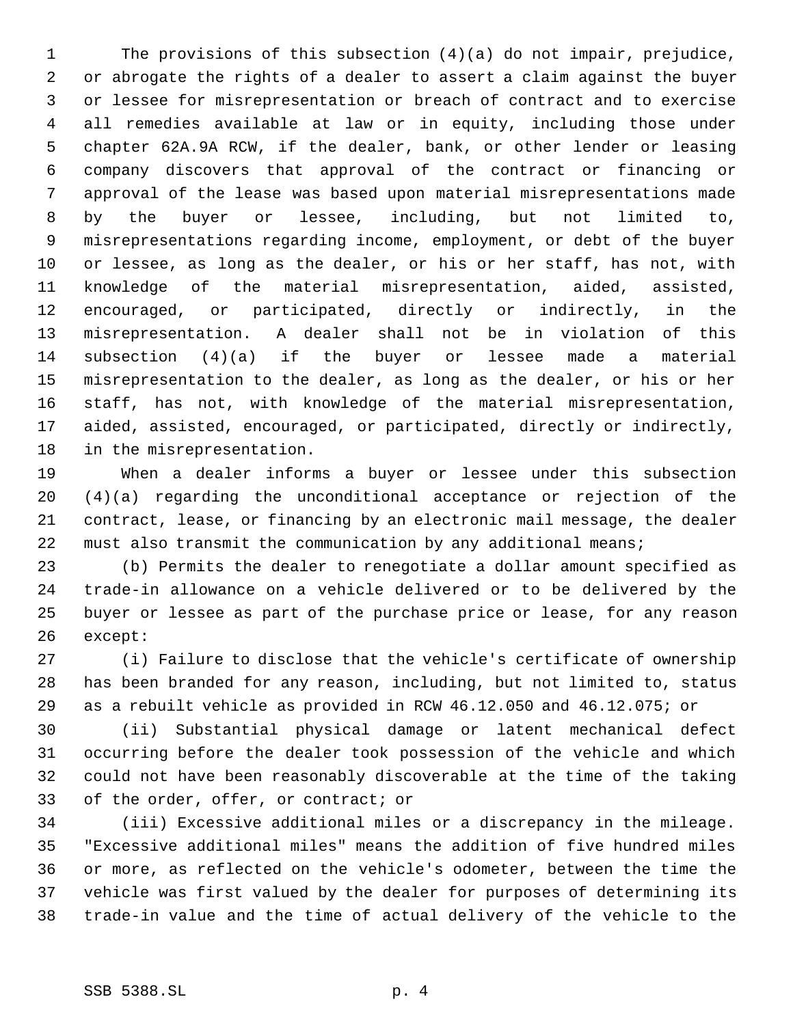The provisions of this subsection (4)(a) do not impair, prejudice, or abrogate the rights of a dealer to assert a claim against the buyer or lessee for misrepresentation or breach of contract and to exercise all remedies available at law or in equity, including those under chapter 62A.9A RCW, if the dealer, bank, or other lender or leasing company discovers that approval of the contract or financing or approval of the lease was based upon material misrepresentations made by the buyer or lessee, including, but not limited to, misrepresentations regarding income, employment, or debt of the buyer or lessee, as long as the dealer, or his or her staff, has not, with knowledge of the material misrepresentation, aided, assisted, encouraged, or participated, directly or indirectly, in the misrepresentation. A dealer shall not be in violation of this subsection (4)(a) if the buyer or lessee made a material misrepresentation to the dealer, as long as the dealer, or his or her staff, has not, with knowledge of the material misrepresentation, aided, assisted, encouraged, or participated, directly or indirectly, in the misrepresentation.

 When a dealer informs a buyer or lessee under this subsection (4)(a) regarding the unconditional acceptance or rejection of the contract, lease, or financing by an electronic mail message, the dealer must also transmit the communication by any additional means;

 (b) Permits the dealer to renegotiate a dollar amount specified as trade-in allowance on a vehicle delivered or to be delivered by the buyer or lessee as part of the purchase price or lease, for any reason except:

 (i) Failure to disclose that the vehicle's certificate of ownership has been branded for any reason, including, but not limited to, status as a rebuilt vehicle as provided in RCW 46.12.050 and 46.12.075; or

 (ii) Substantial physical damage or latent mechanical defect occurring before the dealer took possession of the vehicle and which could not have been reasonably discoverable at the time of the taking of the order, offer, or contract; or

 (iii) Excessive additional miles or a discrepancy in the mileage. "Excessive additional miles" means the addition of five hundred miles or more, as reflected on the vehicle's odometer, between the time the vehicle was first valued by the dealer for purposes of determining its trade-in value and the time of actual delivery of the vehicle to the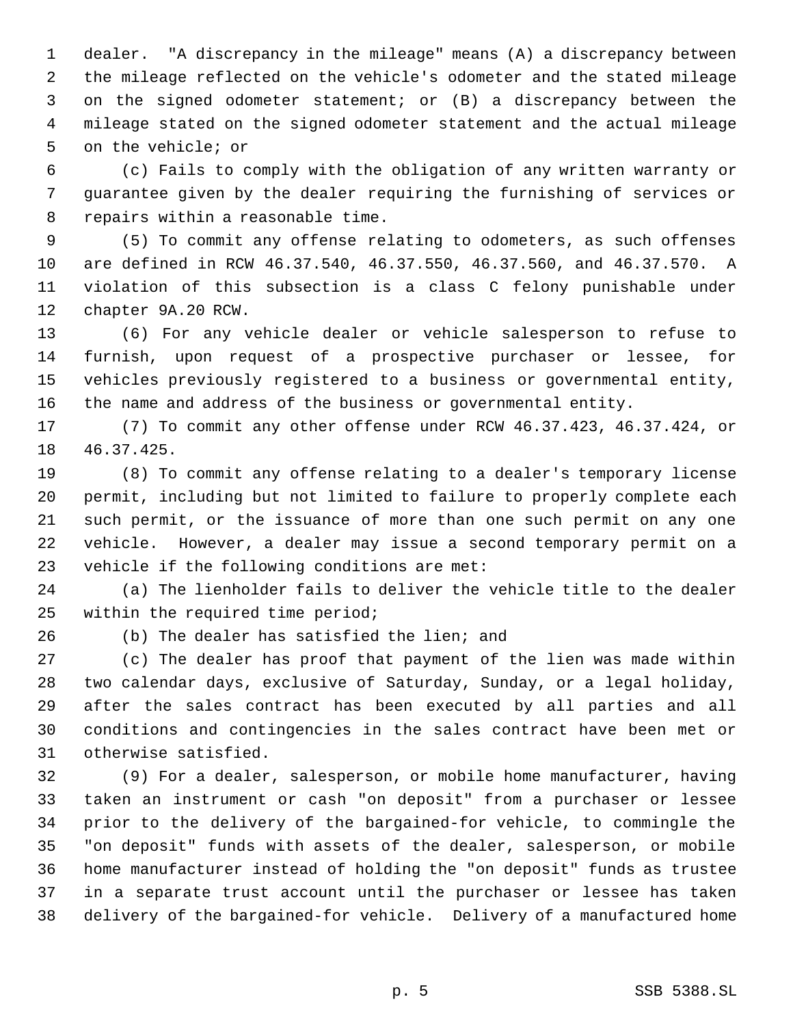dealer. "A discrepancy in the mileage" means (A) a discrepancy between the mileage reflected on the vehicle's odometer and the stated mileage on the signed odometer statement; or (B) a discrepancy between the mileage stated on the signed odometer statement and the actual mileage on the vehicle; or

 (c) Fails to comply with the obligation of any written warranty or guarantee given by the dealer requiring the furnishing of services or repairs within a reasonable time.

 (5) To commit any offense relating to odometers, as such offenses are defined in RCW 46.37.540, 46.37.550, 46.37.560, and 46.37.570. A violation of this subsection is a class C felony punishable under chapter 9A.20 RCW.

 (6) For any vehicle dealer or vehicle salesperson to refuse to furnish, upon request of a prospective purchaser or lessee, for vehicles previously registered to a business or governmental entity, the name and address of the business or governmental entity.

 (7) To commit any other offense under RCW 46.37.423, 46.37.424, or 46.37.425.

 (8) To commit any offense relating to a dealer's temporary license permit, including but not limited to failure to properly complete each such permit, or the issuance of more than one such permit on any one vehicle. However, a dealer may issue a second temporary permit on a vehicle if the following conditions are met:

 (a) The lienholder fails to deliver the vehicle title to the dealer within the required time period;

(b) The dealer has satisfied the lien; and

 (c) The dealer has proof that payment of the lien was made within two calendar days, exclusive of Saturday, Sunday, or a legal holiday, after the sales contract has been executed by all parties and all conditions and contingencies in the sales contract have been met or otherwise satisfied.

 (9) For a dealer, salesperson, or mobile home manufacturer, having taken an instrument or cash "on deposit" from a purchaser or lessee prior to the delivery of the bargained-for vehicle, to commingle the "on deposit" funds with assets of the dealer, salesperson, or mobile home manufacturer instead of holding the "on deposit" funds as trustee in a separate trust account until the purchaser or lessee has taken delivery of the bargained-for vehicle. Delivery of a manufactured home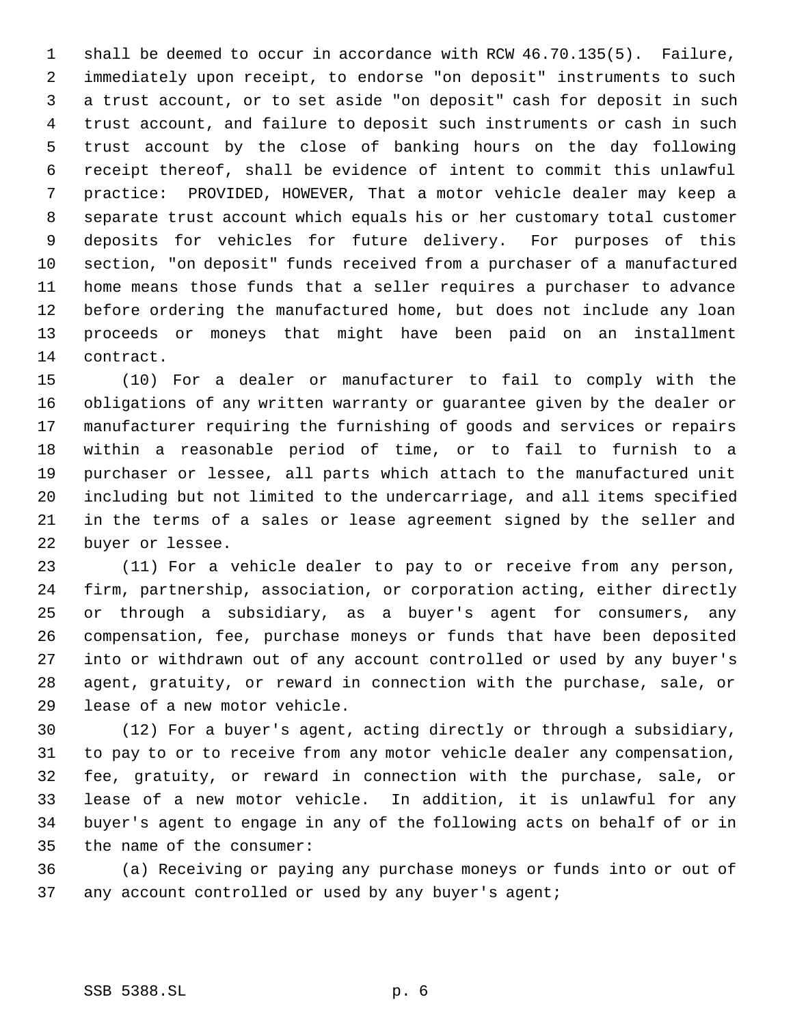shall be deemed to occur in accordance with RCW 46.70.135(5). Failure, immediately upon receipt, to endorse "on deposit" instruments to such a trust account, or to set aside "on deposit" cash for deposit in such trust account, and failure to deposit such instruments or cash in such trust account by the close of banking hours on the day following receipt thereof, shall be evidence of intent to commit this unlawful practice: PROVIDED, HOWEVER, That a motor vehicle dealer may keep a separate trust account which equals his or her customary total customer deposits for vehicles for future delivery. For purposes of this section, "on deposit" funds received from a purchaser of a manufactured home means those funds that a seller requires a purchaser to advance before ordering the manufactured home, but does not include any loan proceeds or moneys that might have been paid on an installment contract.

 (10) For a dealer or manufacturer to fail to comply with the obligations of any written warranty or guarantee given by the dealer or manufacturer requiring the furnishing of goods and services or repairs within a reasonable period of time, or to fail to furnish to a purchaser or lessee, all parts which attach to the manufactured unit including but not limited to the undercarriage, and all items specified in the terms of a sales or lease agreement signed by the seller and buyer or lessee.

 (11) For a vehicle dealer to pay to or receive from any person, firm, partnership, association, or corporation acting, either directly or through a subsidiary, as a buyer's agent for consumers, any compensation, fee, purchase moneys or funds that have been deposited into or withdrawn out of any account controlled or used by any buyer's agent, gratuity, or reward in connection with the purchase, sale, or lease of a new motor vehicle.

 (12) For a buyer's agent, acting directly or through a subsidiary, to pay to or to receive from any motor vehicle dealer any compensation, fee, gratuity, or reward in connection with the purchase, sale, or lease of a new motor vehicle. In addition, it is unlawful for any buyer's agent to engage in any of the following acts on behalf of or in the name of the consumer:

 (a) Receiving or paying any purchase moneys or funds into or out of 37 any account controlled or used by any buyer's agent;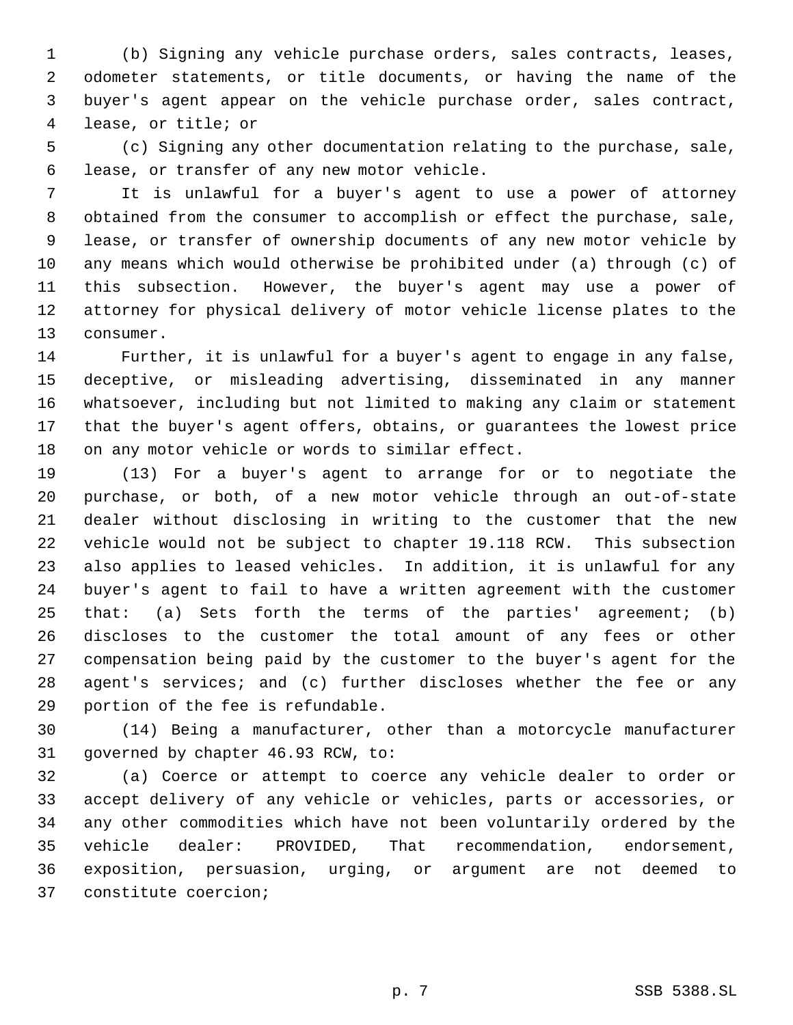(b) Signing any vehicle purchase orders, sales contracts, leases, odometer statements, or title documents, or having the name of the buyer's agent appear on the vehicle purchase order, sales contract, lease, or title; or

 (c) Signing any other documentation relating to the purchase, sale, lease, or transfer of any new motor vehicle.

 It is unlawful for a buyer's agent to use a power of attorney obtained from the consumer to accomplish or effect the purchase, sale, lease, or transfer of ownership documents of any new motor vehicle by any means which would otherwise be prohibited under (a) through (c) of this subsection. However, the buyer's agent may use a power of attorney for physical delivery of motor vehicle license plates to the consumer.

 Further, it is unlawful for a buyer's agent to engage in any false, deceptive, or misleading advertising, disseminated in any manner whatsoever, including but not limited to making any claim or statement that the buyer's agent offers, obtains, or guarantees the lowest price on any motor vehicle or words to similar effect.

 (13) For a buyer's agent to arrange for or to negotiate the purchase, or both, of a new motor vehicle through an out-of-state dealer without disclosing in writing to the customer that the new vehicle would not be subject to chapter 19.118 RCW. This subsection also applies to leased vehicles. In addition, it is unlawful for any buyer's agent to fail to have a written agreement with the customer that: (a) Sets forth the terms of the parties' agreement; (b) discloses to the customer the total amount of any fees or other compensation being paid by the customer to the buyer's agent for the agent's services; and (c) further discloses whether the fee or any portion of the fee is refundable.

 (14) Being a manufacturer, other than a motorcycle manufacturer governed by chapter 46.93 RCW, to:

 (a) Coerce or attempt to coerce any vehicle dealer to order or accept delivery of any vehicle or vehicles, parts or accessories, or any other commodities which have not been voluntarily ordered by the vehicle dealer: PROVIDED, That recommendation, endorsement, exposition, persuasion, urging, or argument are not deemed to constitute coercion;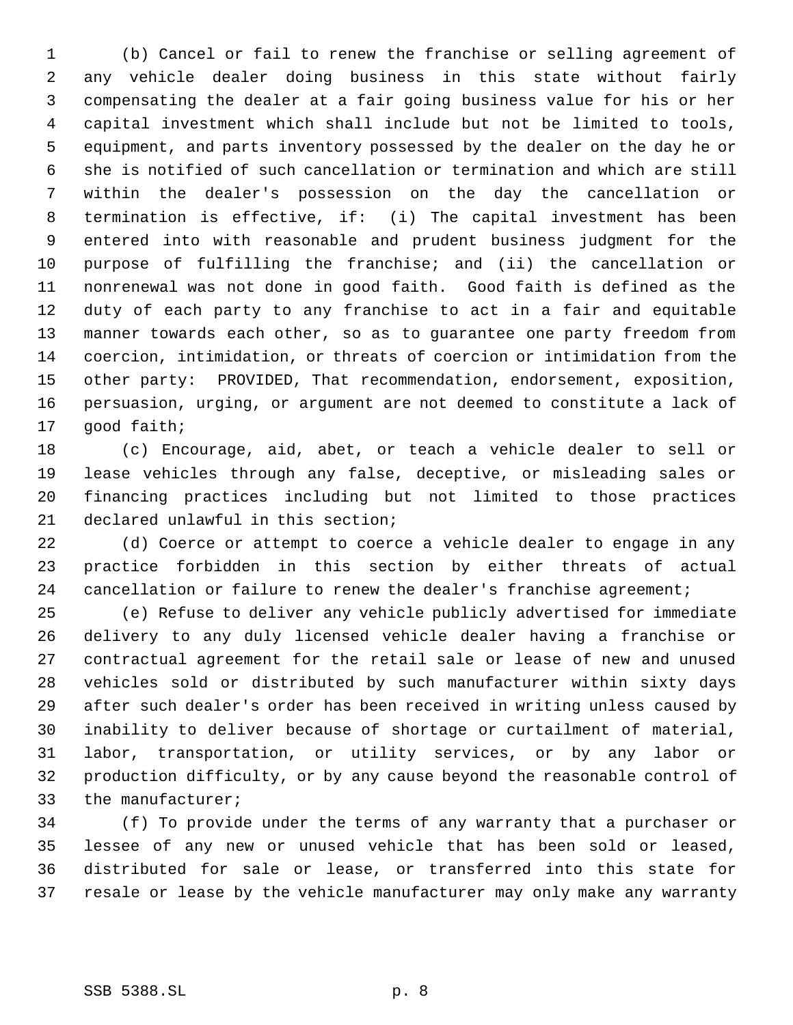(b) Cancel or fail to renew the franchise or selling agreement of any vehicle dealer doing business in this state without fairly compensating the dealer at a fair going business value for his or her capital investment which shall include but not be limited to tools, equipment, and parts inventory possessed by the dealer on the day he or she is notified of such cancellation or termination and which are still within the dealer's possession on the day the cancellation or termination is effective, if: (i) The capital investment has been entered into with reasonable and prudent business judgment for the purpose of fulfilling the franchise; and (ii) the cancellation or nonrenewal was not done in good faith. Good faith is defined as the duty of each party to any franchise to act in a fair and equitable manner towards each other, so as to guarantee one party freedom from coercion, intimidation, or threats of coercion or intimidation from the other party: PROVIDED, That recommendation, endorsement, exposition, persuasion, urging, or argument are not deemed to constitute a lack of good faith;

 (c) Encourage, aid, abet, or teach a vehicle dealer to sell or lease vehicles through any false, deceptive, or misleading sales or financing practices including but not limited to those practices declared unlawful in this section;

 (d) Coerce or attempt to coerce a vehicle dealer to engage in any practice forbidden in this section by either threats of actual 24 cancellation or failure to renew the dealer's franchise agreement;

 (e) Refuse to deliver any vehicle publicly advertised for immediate delivery to any duly licensed vehicle dealer having a franchise or contractual agreement for the retail sale or lease of new and unused vehicles sold or distributed by such manufacturer within sixty days after such dealer's order has been received in writing unless caused by inability to deliver because of shortage or curtailment of material, labor, transportation, or utility services, or by any labor or production difficulty, or by any cause beyond the reasonable control of the manufacturer;

 (f) To provide under the terms of any warranty that a purchaser or lessee of any new or unused vehicle that has been sold or leased, distributed for sale or lease, or transferred into this state for resale or lease by the vehicle manufacturer may only make any warranty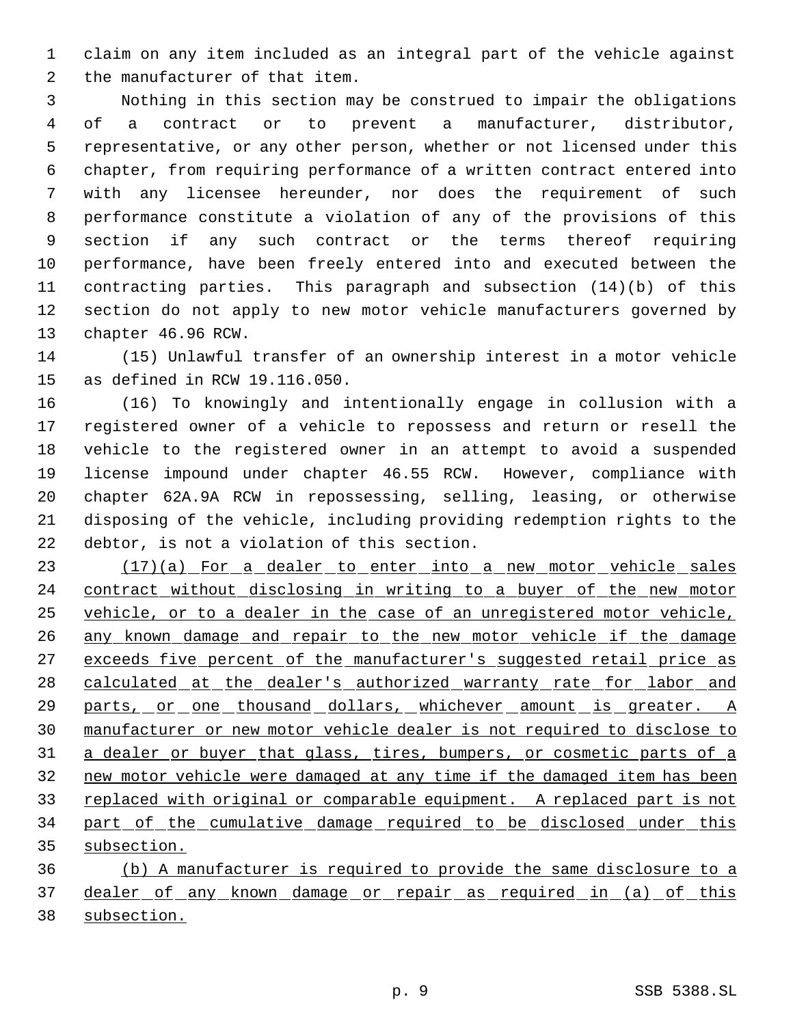claim on any item included as an integral part of the vehicle against the manufacturer of that item.

 Nothing in this section may be construed to impair the obligations of a contract or to prevent a manufacturer, distributor, representative, or any other person, whether or not licensed under this chapter, from requiring performance of a written contract entered into with any licensee hereunder, nor does the requirement of such performance constitute a violation of any of the provisions of this section if any such contract or the terms thereof requiring performance, have been freely entered into and executed between the contracting parties. This paragraph and subsection (14)(b) of this section do not apply to new motor vehicle manufacturers governed by chapter 46.96 RCW.

 (15) Unlawful transfer of an ownership interest in a motor vehicle as defined in RCW 19.116.050.

 (16) To knowingly and intentionally engage in collusion with a registered owner of a vehicle to repossess and return or resell the vehicle to the registered owner in an attempt to avoid a suspended license impound under chapter 46.55 RCW. However, compliance with chapter 62A.9A RCW in repossessing, selling, leasing, or otherwise disposing of the vehicle, including providing redemption rights to the debtor, is not a violation of this section.

23 (17)(a) For a dealer to enter into a new motor vehicle sales contract without disclosing in writing to a buyer of the new motor vehicle, or to a dealer in the case of an unregistered motor vehicle, 26 any known damage and repair to the new motor vehicle if the damage 27 exceeds five percent of the manufacturer's suggested retail price as 28 calculated at the dealer's authorized warranty rate for labor and 29 parts, or one thousand dollars, whichever amount is greater. A manufacturer or new motor vehicle dealer is not required to disclose to 31 a dealer or buyer that glass, tires, bumpers, or cosmetic parts of a new motor vehicle were damaged at any time if the damaged item has been 33 replaced with original or comparable equipment. A replaced part is not 34 part of the cumulative damage required to be disclosed under this subsection.

 (b) A manufacturer is required to provide the same disclosure to a 37 dealer of any known damage or repair as required in (a) of this subsection.